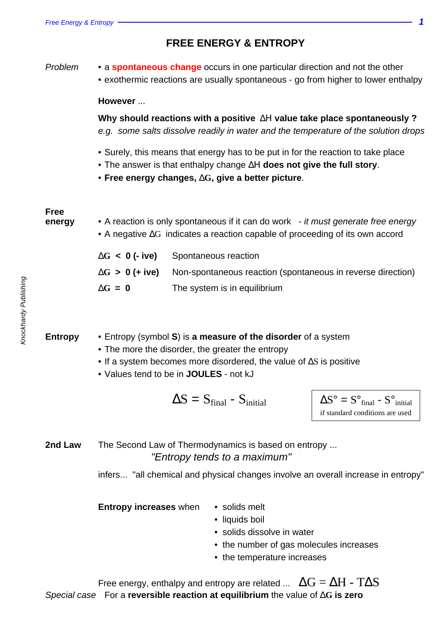**FREE ENERGY & ENTROPY**

| Problem               | • a spontaneous change occurs in one particular direction and not the other<br>• exothermic reactions are usually spontaneous - go from higher to lower enthalpy                                                                          |                                                                                                                                         |                                                                                               |  |  |
|-----------------------|-------------------------------------------------------------------------------------------------------------------------------------------------------------------------------------------------------------------------------------------|-----------------------------------------------------------------------------------------------------------------------------------------|-----------------------------------------------------------------------------------------------|--|--|
|                       | However                                                                                                                                                                                                                                   |                                                                                                                                         |                                                                                               |  |  |
|                       | Why should reactions with a positive $\Delta H$ value take place spontaneously ?<br>e.g. some salts dissolve readily in water and the temperature of the solution drops                                                                   |                                                                                                                                         |                                                                                               |  |  |
|                       | • Surely, this means that energy has to be put in for the reaction to take place<br>• The answer is that enthalpy change $\Delta H$ does not give the full story.<br>• Free energy changes, $\Delta G$ , give a better picture.           |                                                                                                                                         |                                                                                               |  |  |
| <b>Free</b><br>energy | • A reaction is only spontaneous if it can do work - it must generate free energy<br>$\bullet$ A negative $\Delta G$ indicates a reaction capable of proceeding of its own accord                                                         |                                                                                                                                         |                                                                                               |  |  |
|                       | $\Delta G$ < 0 (- ive)                                                                                                                                                                                                                    | Spontaneous reaction                                                                                                                    |                                                                                               |  |  |
|                       | $\Delta G > 0$ (+ ive)                                                                                                                                                                                                                    | Non-spontaneous reaction (spontaneous in reverse direction)                                                                             |                                                                                               |  |  |
|                       | $\Delta G = 0$                                                                                                                                                                                                                            | The system is in equilibrium                                                                                                            |                                                                                               |  |  |
| <b>Entropy</b>        | • Entropy (symbol S) is a measure of the disorder of a system<br>• The more the disorder, the greater the entropy<br>• If a system becomes more disordered, the value of $\Delta S$ is positive<br>• Values tend to be in JOULES - not kJ |                                                                                                                                         |                                                                                               |  |  |
|                       |                                                                                                                                                                                                                                           | $\Delta S = S_{final} - S_{initial}$                                                                                                    | $\Delta S^{\circ} = S^{\circ}$ final - $S^{\circ}$ initial<br>if standard conditions are used |  |  |
| 2nd Law               |                                                                                                                                                                                                                                           | The Second Law of Thermodynamics is based on entropy<br>"Entropy tends to a maximum"                                                    |                                                                                               |  |  |
|                       |                                                                                                                                                                                                                                           | infers "all chemical and physical changes involve an overall increase in entropy"                                                       |                                                                                               |  |  |
|                       | Entropy increases when                                                                                                                                                                                                                    | • solids melt<br>• liquids boil<br>• solids dissolve in water<br>• the number of gas molecules increases<br>• the temperature increases |                                                                                               |  |  |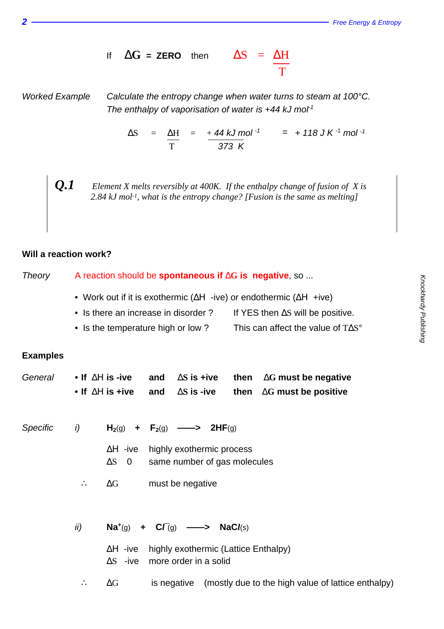If  $\Delta G =$ **ZERO** then  $\Delta S = \Delta H$ **The Community of The Community of The Community** 

Worked Example Calculate the entropy change when water turns to steam at 100°C. The enthalpy of vaporisation of water is  $+44$  kJ mol<sup>1</sup>

> $\Delta S$  =  $\Delta H$  = +44 kJ mol <sup>-1</sup> = +118 J K <sup>-1</sup> mol <sup>-1</sup> T 373 K

*Q.1 Element X melts reversibly at 400K. If the enthalpy change of fusion of X is 2.84 kJ mol-1, what is the entropy change? [Fusion is the same as melting]*

## **Will a reaction work?**

Theory A reaction should be **spontaneous if** ∆**G is negative**, so ... • Work out if it is exothermic ( $\Delta H$  -ive) or endothermic ( $\Delta H$  +ive) • Is there an increase in disorder ? If YES then ∆S will be positive. • Is the temperature high or low ? This can affect the value of T∆S°

## **Examples**

|  |  | General • If $\Delta H$ is -ive and $\Delta S$ is +ive then $\Delta G$ must be negative |
|--|--|-----------------------------------------------------------------------------------------|
|  |  | • If $\Delta H$ is +ive and $\Delta S$ is -ive then $\Delta G$ must be positive         |

| Specific | i) |                | $H_2(g)$ + $F_2(g)$ ——> 2HF(g)                                            |
|----------|----|----------------|---------------------------------------------------------------------------|
|          |    | $\Delta S = 0$ | $\Delta H$ -ive highly exothermic process<br>same number of gas molecules |
|          |    | $\Delta G$     | must be negative                                                          |

| ii)                   |            | $\mathsf{Na}^{+}(q)$ + $\mathsf{C}\mathsf{\Gamma}(q)$ --> $\mathsf{NaCl}(s)$ |                                                                |
|-----------------------|------------|------------------------------------------------------------------------------|----------------------------------------------------------------|
|                       |            | $\Delta S$ -ive more order in a solid                                        | $\Delta H$ -ive highly exothermic (Lattice Enthalpy)           |
| $\dddot{\phantom{1}}$ | $\Delta G$ |                                                                              | is negative (mostly due to the high value of lattice enthalpy) |